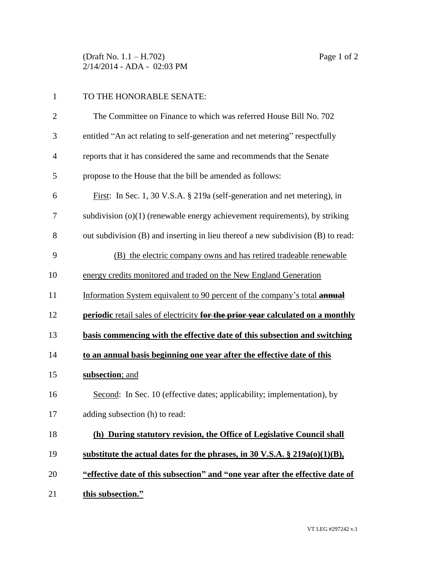(Draft No. 1.1 – H.702) Page 1 of 2 2/14/2014 - ADA - 02:03 PM

## TO THE HONORABLE SENATE:

| $\overline{2}$ | The Committee on Finance to which was referred House Bill No. 702                |
|----------------|----------------------------------------------------------------------------------|
| 3              | entitled "An act relating to self-generation and net metering" respectfully      |
| $\overline{4}$ | reports that it has considered the same and recommends that the Senate           |
| 5              | propose to the House that the bill be amended as follows:                        |
| 6              | First: In Sec. 1, 30 V.S.A. § 219a (self-generation and net metering), in        |
| 7              | subdivision $(o)(1)$ (renewable energy achievement requirements), by striking    |
| 8              | out subdivision (B) and inserting in lieu thereof a new subdivision (B) to read: |
| 9              | (B) the electric company owns and has retired tradeable renewable                |
| 10             | energy credits monitored and traded on the New England Generation                |
| 11             | Information System equivalent to 90 percent of the company's total annual        |
| 12             | periodic retail sales of electricity for the prior year calculated on a monthly  |
| 13             | basis commencing with the effective date of this subsection and switching        |
| 14             | to an annual basis beginning one year after the effective date of this           |
| 15             | subsection; and                                                                  |
| 16             |                                                                                  |
|                | Second: In Sec. 10 (effective dates; applicability; implementation), by          |
| 17             | adding subsection (h) to read:                                                   |
| 18             | (h) During statutory revision, the Office of Legislative Council shall           |
| 19             | substitute the actual dates for the phrases, in 30 V.S.A. $\S 219a(0)(1)(B)$ ,   |
| 20             | "effective date of this subsection" and "one year after the effective date of    |